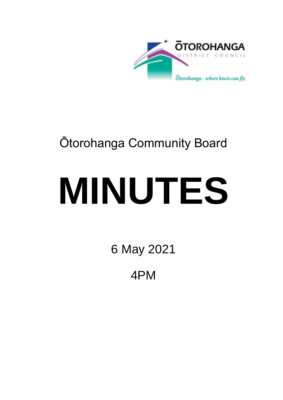

# Ōtorohanga Community Board

# **MINUTES**

6 May 2021

4PM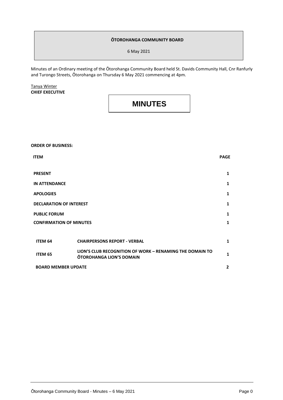#### **ŌTOROHANGA COMMUNITY BOARD**

6 May 2021

Minutes of an Ordinary meeting of the Ōtorohanga Community Board held St. Davids Community Hall, Cnr Ranfurly and Turongo Streets, Ōtorohanga on Thursday 6 May 2021 commencing at 4pm.

#### Tanya Winter **CHIEF EXECUTIVE**

### **MINUTES**

## **ORDER OF BUSINESS: ITEM PAGE PRESENT 1 IN ATTENDANCE 1 APOLOGIES 1 DECLARATION OF INTEREST 1 PUBLIC FORUM CONFIRMATION OF MINUTES 1 1 ITEM 64 CHAIRPERSONS REPORT - VERBAL 1 ITEM <sup>65</sup> LION'S CLUB RECOGNITION OF WORK – RENAMING THE DOMAIN TO OTOROHANGA LION'S DOMAIN**<br> **OTOROHANGA LION'S DOMAIN BOARD MEMBER UPDATE 2**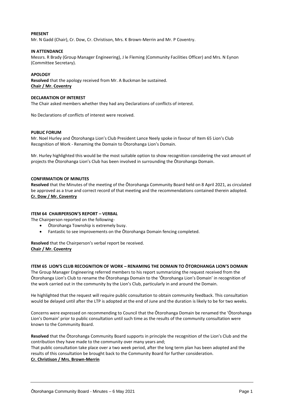#### **PRESENT**

Mr. N Gadd (Chair), Cr. Dow, Cr. Christison, Mrs. K Brown-Merrin and Mr. P Coventry.

#### **IN ATTENDANCE**

Messrs. R Brady (Group Manager Engineering), J le Fleming (Community Facilities Officer) and Mrs. N Eynon (Committee Secretary).

#### **APOLOGY**

**Resolved** that the apology received from Mr. A Buckman be sustained. **Chair / Mr. Coventry**

#### **DECLARATION OF INTEREST**

The Chair asked members whether they had any Declarations of conflicts of interest.

No Declarations of conflicts of interest were received.

#### **PUBLIC FORUM**

Mr. Noel Hurley and Ōtorohanga Lion's Club President Lance Neely spoke in favour of Item 65 Lion's Club Recognition of Work - Renaming the Domain to Ōtorohanga Lion's Domain.

Mr. Hurley highlighted this would be the most suitable option to show recognition considering the vast amount of projects the Ōtorohanga Lion's Club has been involved in surrounding the Ōtorohanga Domain.

#### **CONFIRMATION OF MINUTES**

**Resolved** that the Minutes of the meeting of the Ōtorohanga Community Board held on 8 April 2021, as circulated be approved as a true and correct record of that meeting and the recommendations contained therein adopted. **Cr. Dow / Mr. Coventry**

#### **ITEM 64 CHAIRPERSON'S REPORT – VERBAL**

The Chairperson reported on the following-

- Ōtorohanga Township is extremely busy.
- Fantastic to see improvements on the Ōtorohanga Domain fencing completed.

**Resolved** that the Chairperson's verbal report be received. **Chair / Mr. Coventry**

#### **ITEM 65 LION'S CLUB RECOGNITION OF WORK – RENAMING THE DOMAIN TO ŌTOROHANGA LION'S DOMAIN**

The Group Manager Engineering referred members to his report summarizing the request received from the Ōtorohanga Lion's Club to rename the Ōtorohanga Domain to the 'Ōtorohanga Lion's Domain' in recognition of the work carried out in the community by the Lion's Club, particularly in and around the Domain.

He highlighted that the request will require public consultation to obtain community feedback. This consultation would be delayed until after the LTP is adopted at the end of June and the duration is likely to be for two weeks.

Concerns were expressed on recommending to Council that the Ōtorohanga Domain be renamed the 'Ōtorohanga Lion's Domain' prior to public consultation until such time as the results of the community consultation were known to the Community Board.

**Resolved** that the Ōtorohanga Community Board supports in principle the recognition of the Lion's Club and the contribution they have made to the community over many years and;

That public consultation take place over a two week period, after the long term plan has been adopted and the results of this consultation be brought back to the Community Board for further consideration. **Cr. Christison / Mrs. Brown-Merrin**